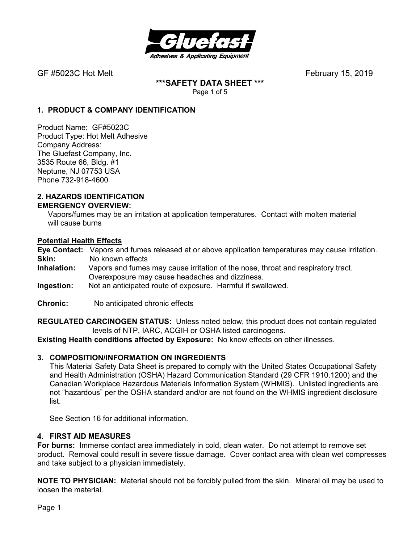

**\*\*\*SAFETY DATA SHEET \*\*\***  Page 1 of 5

## **1. PRODUCT & COMPANY IDENTIFICATION**

Product Name: GF#5023C Product Type: Hot Melt Adhesive Company Address: The Gluefast Company, Inc. 3535 Route 66, Bldg. #1 Neptune, NJ 07753 USA Phone 732-918-4600

#### **2. HAZARDS IDENTIFICATION EMERGENCY OVERVIEW:**

 Vapors/fumes may be an irritation at application temperatures. Contact with molten material will cause burns

## **Potential Health Effects**

**Eye Contact:** Vapors and fumes released at or above application temperatures may cause irritation. **Skin:** No known effects<br>**Inhalation:** Vapors and fumes

- **Inhalation:** Vapors and fumes may cause irritation of the nose, throat and respiratory tract. Overexposure may cause headaches and dizziness.
- **Ingestion:** Not an anticipated route of exposure. Harmful if swallowed.
- **Chronic:** No anticipated chronic effects

**REGULATED CARCINOGEN STATUS:** Unless noted below, this product does not contain regulated levels of NTP, IARC, ACGIH or OSHA listed carcinogens.

**Existing Health conditions affected by Exposure:** No know effects on other illnesses.

## **3. COMPOSITION/INFORMATION ON INGREDIENTS**

This Material Safety Data Sheet is prepared to comply with the United States Occupational Safety and Health Administration (OSHA) Hazard Communication Standard (29 CFR 1910.1200) and the Canadian Workplace Hazardous Materials Information System (WHMIS). Unlisted ingredients are not "hazardous" per the OSHA standard and/or are not found on the WHMIS ingredient disclosure list.

See Section 16 for additional information.

#### **4. FIRST AID MEASURES**

**For burns:** Immerse contact area immediately in cold, clean water. Do not attempt to remove set product. Removal could result in severe tissue damage. Cover contact area with clean wet compresses and take subject to a physician immediately.

**NOTE TO PHYSICIAN:** Material should not be forcibly pulled from the skin. Mineral oil may be used to loosen the material.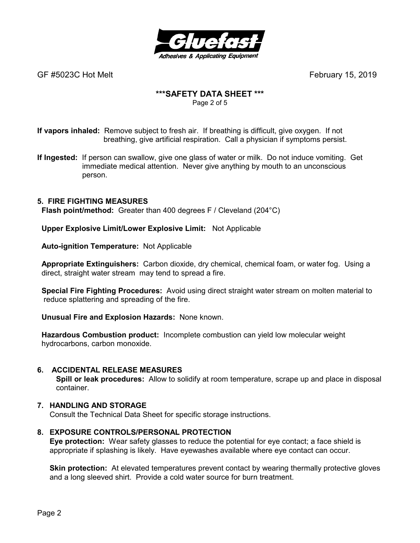

## **\*\*\*SAFETY DATA SHEET \*\*\***

Page 2 of 5

**If vapors inhaled:** Remove subject to fresh air. If breathing is difficult, give oxygen. If not breathing, give artificial respiration. Call a physician if symptoms persist.

**If Ingested:** If person can swallow, give one glass of water or milk. Do not induce vomiting. Get immediate medical attention. Never give anything by mouth to an unconscious person.

## **5. FIRE FIGHTING MEASURES**

 **Flash point/method:** Greater than 400 degrees F / Cleveland (204°C)

 **Upper Explosive Limit/Lower Explosive Limit:** Not Applicable

 **Auto-ignition Temperature:** Not Applicable

 **Appropriate Extinguishers:** Carbon dioxide, dry chemical, chemical foam, or water fog. Using a direct, straight water stream may tend to spread a fire.

 **Special Fire Fighting Procedures:** Avoid using direct straight water stream on molten material to reduce splattering and spreading of the fire.

 **Unusual Fire and Explosion Hazards:** None known.

 **Hazardous Combustion product:** Incomplete combustion can yield low molecular weight hydrocarbons, carbon monoxide.

## **6. ACCIDENTAL RELEASE MEASURES**

 **Spill or leak procedures:** Allow to solidify at room temperature, scrape up and place in disposal container.

## **7. HANDLING AND STORAGE**

Consult the Technical Data Sheet for specific storage instructions.

## **8. EXPOSURE CONTROLS/PERSONAL PROTECTION**

**Eye protection:** Wear safety glasses to reduce the potential for eye contact; a face shield is appropriate if splashing is likely. Have eyewashes available where eye contact can occur.

**Skin protection:** At elevated temperatures prevent contact by wearing thermally protective gloves and a long sleeved shirt. Provide a cold water source for burn treatment.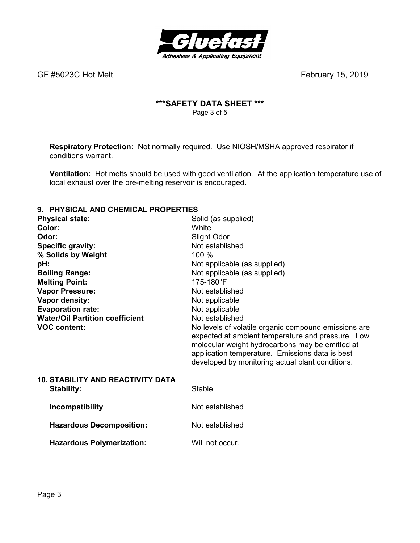

## **\*\*\*SAFETY DATA SHEET \*\*\***  Page 3 of 5

**Respiratory Protection:** Not normally required.Use NIOSH/MSHA approved respirator if conditions warrant.

**Ventilation:** Hot melts should be used with good ventilation. At the application temperature use of local exhaust over the pre-melting reservoir is encouraged.

## **9. PHYSICAL AND CHEMICAL PROPERTIES**

| <u>TITUVAL AND VIILINIVAL I INDI LINTILU</u> |                                                                                                                                                                                                                                                                     |
|----------------------------------------------|---------------------------------------------------------------------------------------------------------------------------------------------------------------------------------------------------------------------------------------------------------------------|
| <b>Physical state:</b>                       | Solid (as supplied)                                                                                                                                                                                                                                                 |
| Color:                                       | White                                                                                                                                                                                                                                                               |
| Odor:                                        | Slight Odor                                                                                                                                                                                                                                                         |
| <b>Specific gravity:</b>                     | Not established                                                                                                                                                                                                                                                     |
| % Solids by Weight                           | 100 %                                                                                                                                                                                                                                                               |
| pH:                                          | Not applicable (as supplied)                                                                                                                                                                                                                                        |
| <b>Boiling Range:</b>                        | Not applicable (as supplied)                                                                                                                                                                                                                                        |
| <b>Melting Point:</b>                        | 175-180°F                                                                                                                                                                                                                                                           |
| <b>Vapor Pressure:</b>                       | Not established                                                                                                                                                                                                                                                     |
| Vapor density:                               | Not applicable                                                                                                                                                                                                                                                      |
| <b>Evaporation rate:</b>                     | Not applicable                                                                                                                                                                                                                                                      |
| <b>Water/Oil Partition coefficient</b>       | Not established                                                                                                                                                                                                                                                     |
| <b>VOC content:</b>                          | No levels of volatile organic compound emissions are<br>expected at ambient temperature and pressure. Low<br>molecular weight hydrocarbons may be emitted at<br>application temperature. Emissions data is best<br>developed by monitoring actual plant conditions. |
| <b>10. STABILITY AND REACTIVITY DATA</b>     |                                                                                                                                                                                                                                                                     |
| Stability:                                   | <b>Stable</b>                                                                                                                                                                                                                                                       |
| Incompatibility                              | Not established                                                                                                                                                                                                                                                     |
| <b>Hazardous Decomposition:</b>              | Not established                                                                                                                                                                                                                                                     |
| <b>Hazardous Polymerization:</b>             | Will not occur.                                                                                                                                                                                                                                                     |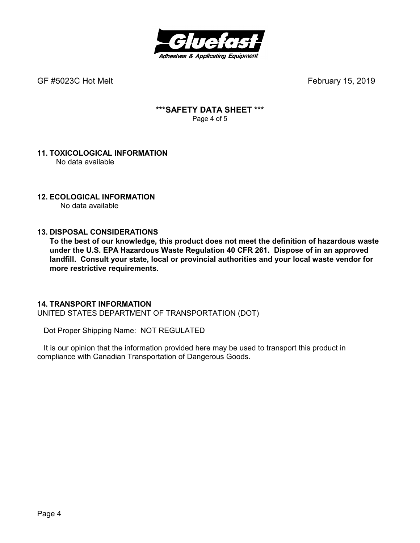

## **\*\*\*SAFETY DATA SHEET \*\*\***  Page 4 of 5

#### **11. TOXICOLOGICAL INFORMATION**  No data available

## **12. ECOLOGICAL INFORMATION**

No data available

## **13. DISPOSAL CONSIDERATIONS**

**To the best of our knowledge, this product does not meet the definition of hazardous waste under the U.S. EPA Hazardous Waste Regulation 40 CFR 261. Dispose of in an approved landfill. Consult your state, local or provincial authorities and your local waste vendor for more restrictive requirements.** 

## **14. TRANSPORT INFORMATION**

UNITED STATES DEPARTMENT OF TRANSPORTATION (DOT)

Dot Proper Shipping Name: NOT REGULATED

 It is our opinion that the information provided here may be used to transport this product in compliance with Canadian Transportation of Dangerous Goods.